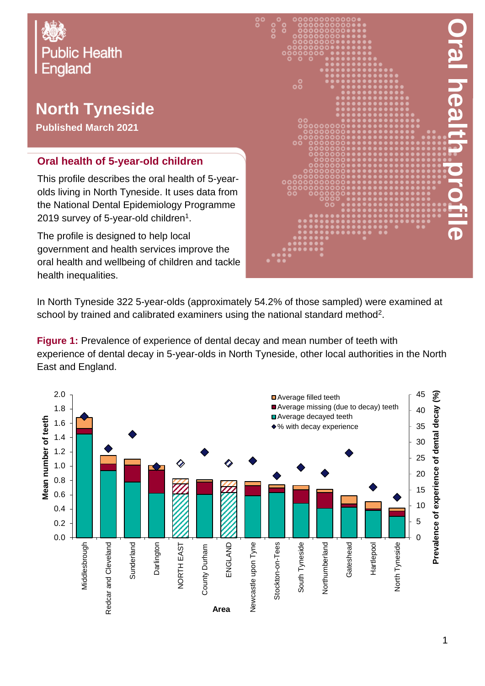

# **North Tyneside**

**Published March 2021**

#### **Oral health of 5-year-old children**

This profile describes the oral health of 5-yearolds living in North Tyneside. It uses data from the National Dental Epidemiology Programme 2019 survey of 5-year-old children $^{\rm 1}.$ 

The profile is designed to help local government and health services improve the oral health and wellbeing of children and tackle health inequalities.



In North Tyneside 322 5-year-olds (approximately 54.2% of those sampled) were examined at school by trained and calibrated examiners using the national standard method<sup>2</sup>.

**Figure 1:** Prevalence of experience of dental decay and mean number of teeth with experience of dental decay in 5-year-olds in North Tyneside, other local authorities in the North East and England.

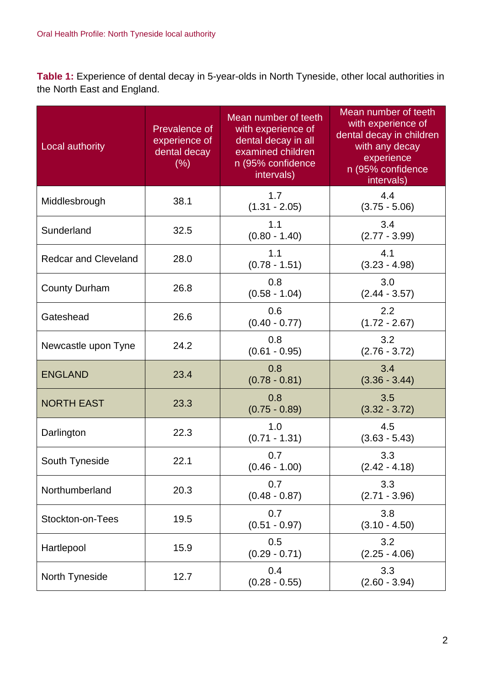**Table 1:** Experience of dental decay in 5-year-olds in North Tyneside, other local authorities in the North East and England.

| Local authority             | Prevalence of<br>experience of<br>dental decay<br>(% ) | Mean number of teeth<br>with experience of<br>dental decay in all<br>examined children<br>n (95% confidence<br>intervals) | Mean number of teeth<br>with experience of<br>dental decay in children<br>with any decay<br>experience<br>n (95% confidence<br>intervals) |
|-----------------------------|--------------------------------------------------------|---------------------------------------------------------------------------------------------------------------------------|-------------------------------------------------------------------------------------------------------------------------------------------|
| Middlesbrough               | 38.1                                                   | 1.7<br>$(1.31 - 2.05)$                                                                                                    | 4.4<br>$(3.75 - 5.06)$                                                                                                                    |
| Sunderland                  | 32.5                                                   | 1.1<br>$(0.80 - 1.40)$                                                                                                    | 3.4<br>$(2.77 - 3.99)$                                                                                                                    |
| <b>Redcar and Cleveland</b> | 28.0                                                   | 1.1<br>$(0.78 - 1.51)$                                                                                                    | 4.1<br>$(3.23 - 4.98)$                                                                                                                    |
| <b>County Durham</b>        | 26.8                                                   | 0.8<br>$(0.58 - 1.04)$                                                                                                    | 3.0<br>$(2.44 - 3.57)$                                                                                                                    |
| Gateshead                   | 26.6                                                   | 0.6<br>$(0.40 - 0.77)$                                                                                                    | 2.2<br>$(1.72 - 2.67)$                                                                                                                    |
| Newcastle upon Tyne         | 24.2                                                   | 0.8<br>$(0.61 - 0.95)$                                                                                                    | 3.2<br>$(2.76 - 3.72)$                                                                                                                    |
| <b>ENGLAND</b>              | 23.4                                                   | 0.8<br>$(0.78 - 0.81)$                                                                                                    | 3.4<br>$(3.36 - 3.44)$                                                                                                                    |
| <b>NORTH EAST</b>           | 23.3                                                   | 0.8<br>$(0.75 - 0.89)$                                                                                                    | 3.5<br>$(3.32 - 3.72)$                                                                                                                    |
| Darlington                  | 22.3                                                   | 1.0<br>$(0.71 - 1.31)$                                                                                                    | 4.5<br>$(3.63 - 5.43)$                                                                                                                    |
| South Tyneside              | 22.1                                                   | 0.7<br>$(0.46 - 1.00)$                                                                                                    | 3.3<br>$(2.42 - 4.18)$                                                                                                                    |
| Northumberland              | 20.3                                                   | 0.7<br>$(0.48 - 0.87)$                                                                                                    | 3.3<br>$(2.71 - 3.96)$                                                                                                                    |
| Stockton-on-Tees            | 19.5                                                   | 0.7<br>$(0.51 - 0.97)$                                                                                                    | 3.8<br>$(3.10 - 4.50)$                                                                                                                    |
| Hartlepool                  | 15.9                                                   | 0.5<br>$(0.29 - 0.71)$                                                                                                    | 3.2<br>$(2.25 - 4.06)$                                                                                                                    |
| North Tyneside              | 12.7                                                   | 0.4<br>$(0.28 - 0.55)$                                                                                                    | 3.3<br>$(2.60 - 3.94)$                                                                                                                    |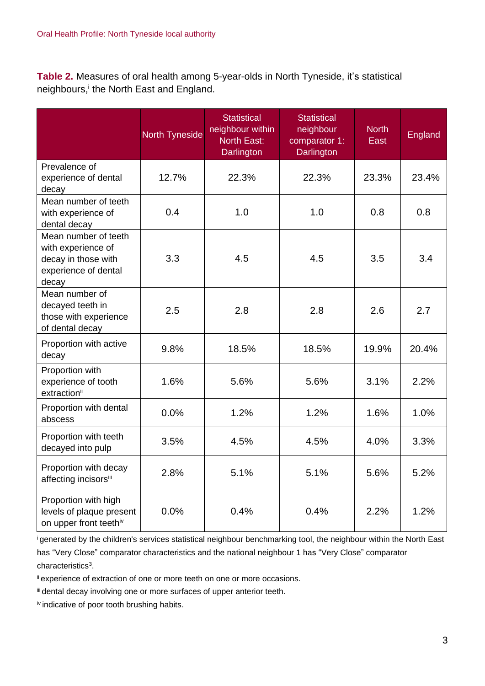**Table 2.** Measures of oral health among 5-year-olds in North Tyneside, it's statistical neighbours,<sup>i</sup> the North East and England.

|                                                                                                    | <b>North Tyneside</b> | <b>Statistical</b><br>neighbour within<br><b>North East:</b><br>Darlington | <b>Statistical</b><br>neighbour<br>comparator 1:<br>Darlington | <b>North</b><br>East | <b>England</b> |
|----------------------------------------------------------------------------------------------------|-----------------------|----------------------------------------------------------------------------|----------------------------------------------------------------|----------------------|----------------|
| Prevalence of<br>experience of dental<br>decay                                                     | 12.7%                 | 22.3%                                                                      | 22.3%                                                          | 23.3%                | 23.4%          |
| Mean number of teeth<br>with experience of<br>dental decay                                         | 0.4                   | 1.0                                                                        | 1.0                                                            | 0.8                  | 0.8            |
| Mean number of teeth<br>with experience of<br>decay in those with<br>experience of dental<br>decay | 3.3                   | 4.5                                                                        | 4.5                                                            | 3.5                  | 3.4            |
| Mean number of<br>decayed teeth in<br>those with experience<br>of dental decay                     | 2.5                   | 2.8                                                                        | 2.8                                                            | 2.6                  | 2.7            |
| Proportion with active<br>decay                                                                    | 9.8%                  | 18.5%                                                                      | 18.5%                                                          | 19.9%                | 20.4%          |
| Proportion with<br>experience of tooth<br>extractionii                                             | 1.6%                  | 5.6%                                                                       | 5.6%                                                           | 3.1%                 | 2.2%           |
| Proportion with dental<br>abscess                                                                  | 0.0%                  | 1.2%                                                                       | 1.2%                                                           | 1.6%                 | 1.0%           |
| Proportion with teeth<br>decayed into pulp                                                         | 3.5%                  | 4.5%                                                                       | 4.5%                                                           | 4.0%                 | 3.3%           |
| Proportion with decay<br>affecting incisorsii                                                      | 2.8%                  | 5.1%                                                                       | 5.1%                                                           | 5.6%                 | 5.2%           |
| Proportion with high<br>levels of plaque present<br>on upper front teethiv                         | 0.0%                  | 0.4%                                                                       | 0.4%                                                           | 2.2%                 | 1.2%           |

<sup>i</sup>generated by the children's services statistical neighbour benchmarking tool, the neighbour within the North East has "Very Close" comparator characteristics and the national neighbour 1 has "Very Close" comparator characteristics<sup>3</sup>.

ii experience of extraction of one or more teeth on one or more occasions.

iii dental decay involving one or more surfaces of upper anterior teeth.

iv indicative of poor tooth brushing habits.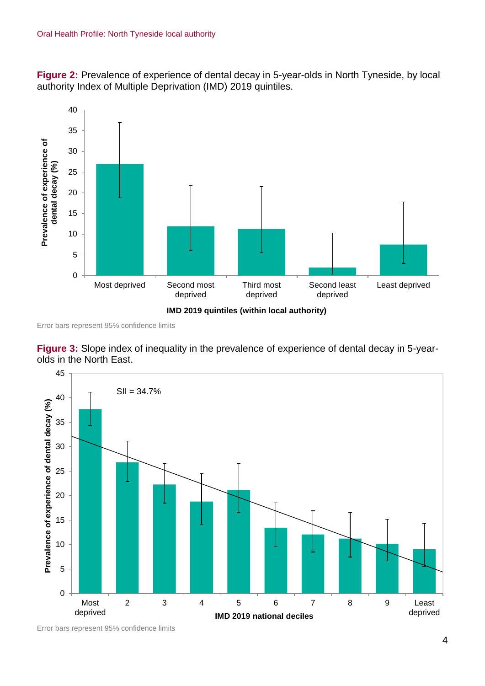**Figure 2:** Prevalence of experience of dental decay in 5-year-olds in North Tyneside, by local authority Index of Multiple Deprivation (IMD) 2019 quintiles.



Error bars represent 95% confidence limits





Error bars represent 95% confidence limits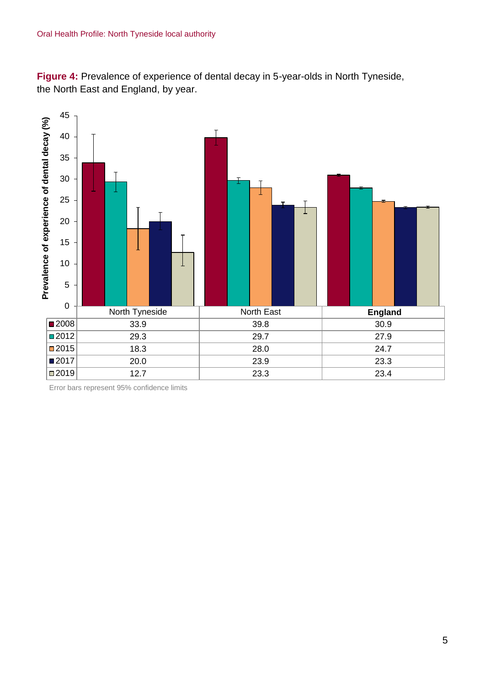**Figure 4:** Prevalence of experience of dental decay in 5-year-olds in North Tyneside, the North East and England, by year.



Error bars represent 95% confidence limits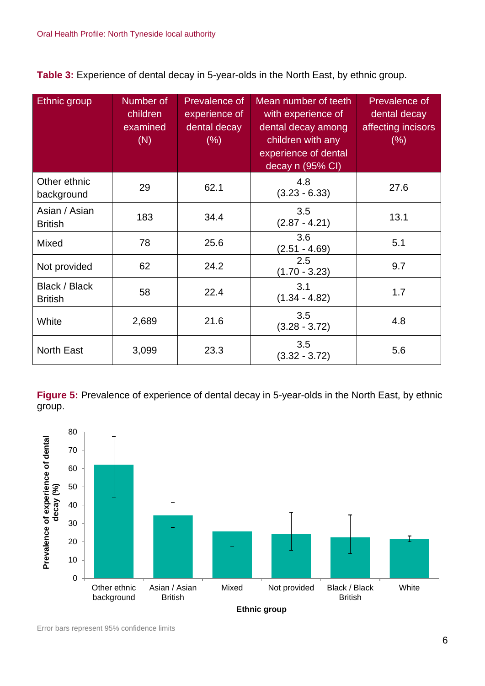**Table 3:** Experience of dental decay in 5-year-olds in the North East, by ethnic group.

| Ethnic group                    | Number of<br>children<br>examined<br>(N) | <b>Prevalence of</b><br>experience of<br>dental decay<br>$(\% )$ | Mean number of teeth<br>with experience of<br>dental decay among<br>children with any<br>experience of dental<br>decay n (95% CI) | Prevalence of<br>dental decay<br>affecting incisors<br>$(\% )$ |
|---------------------------------|------------------------------------------|------------------------------------------------------------------|-----------------------------------------------------------------------------------------------------------------------------------|----------------------------------------------------------------|
| Other ethnic<br>background      | 29                                       | 62.1                                                             | 4.8<br>$(3.23 - 6.33)$                                                                                                            | 27.6                                                           |
| Asian / Asian<br><b>British</b> | 183                                      | 34.4                                                             | 3.5<br>$(2.87 - 4.21)$                                                                                                            | 13.1                                                           |
| Mixed                           | 78                                       | 25.6                                                             | 3.6<br>$(2.51 - 4.69)$                                                                                                            | 5.1                                                            |
| Not provided                    | 62                                       | 24.2                                                             | 2.5<br>$(1.70 - 3.23)$                                                                                                            | 9.7                                                            |
| Black / Black<br><b>British</b> | 58                                       | 22.4                                                             | 3.1<br>$(1.34 - 4.82)$                                                                                                            | 1.7                                                            |
| White                           | 2,689                                    | 21.6                                                             | 3.5<br>$(3.28 - 3.72)$                                                                                                            | 4.8                                                            |
| <b>North East</b>               | 3,099                                    | 23.3                                                             | 3.5<br>$(3.32 - 3.72)$                                                                                                            | 5.6                                                            |

**Figure 5:** Prevalence of experience of dental decay in 5-year-olds in the North East, by ethnic group.

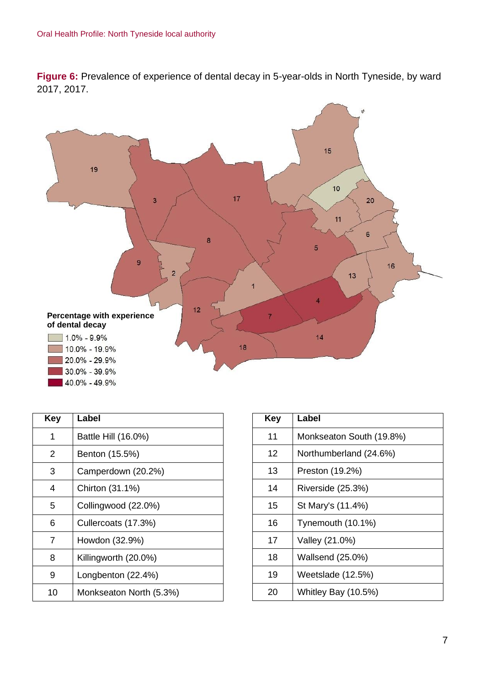**Figure 6:** Prevalence of experience of dental decay in 5-year-olds in North Tyneside, by ward 2017, 2017.



| Key | Label                   |
|-----|-------------------------|
| 1   | Battle Hill (16.0%)     |
| 2   | Benton (15.5%)          |
| З   | Camperdown (20.2%)      |
| 4   | Chirton (31.1%)         |
| 5   | Collingwood (22.0%)     |
| 6   | Cullercoats (17.3%)     |
| 7   | Howdon (32.9%)          |
| 8   | Killingworth (20.0%)    |
| 9   | Longbenton (22.4%)      |
| 10  | Monkseaton North (5.3%) |

| Key | Label                    |
|-----|--------------------------|
| 11  | Monkseaton South (19.8%) |
| 12  | Northumberland (24.6%)   |
| 13  | Preston (19.2%)          |
| 14  | Riverside (25.3%)        |
| 15  | St Mary's (11.4%)        |
| 16  | Tynemouth (10.1%)        |
| 17  | Valley (21.0%)           |
| 18  | Wallsend (25.0%)         |
| 19  | Weetslade (12.5%)        |
| 20  | Whitley Bay (10.5%)      |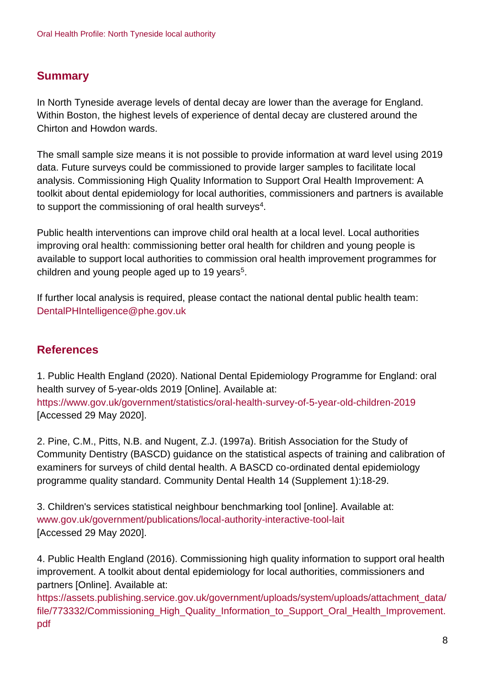## **Summary**

In North Tyneside average levels of dental decay are lower than the average for England. Within Boston, the highest levels of experience of dental decay are clustered around the Chirton and Howdon wards.

The small sample size means it is not possible to provide information at ward level using 2019 data. Future surveys could be commissioned to provide larger samples to facilitate local analysis. Commissioning High Quality Information to Support Oral Health Improvement: A toolkit about dental epidemiology for local authorities, commissioners and partners is available to support the commissioning of oral health surveys $^4$ .

Public health interventions can improve child oral health at a local level. Local authorities improving oral health: commissioning better oral health for children and young people is available to support local authorities to commission oral health improvement programmes for children and young people aged up to 19 years<sup>5</sup>.

If further local analysis is required, please contact the national dental public health team: DentalPHIntelligence@phe.gov.uk

### **References**

1. Public Health England (2020). National Dental Epidemiology Programme for England: oral health survey of 5-year-olds 2019 [Online]. Available at: <https://www.gov.uk/government/statistics/oral-health-survey-of-5-year-old-children-2019> [Accessed 29 May 2020].

2. Pine, C.M., Pitts, N.B. and Nugent, Z.J. (1997a). British Association for the Study of Community Dentistry (BASCD) guidance on the statistical aspects of training and calibration of examiners for surveys of child dental health. A BASCD co-ordinated dental epidemiology programme quality standard. Community Dental Health 14 (Supplement 1):18-29.

3. Children's services statistical neighbour benchmarking tool [online]. Available at: [www.gov.uk/government/publications/local-authority-interactive-tool-lait](http://www.gov.uk/government/publications/local-authority-interactive-tool-lait) [Accessed 29 May 2020].

4. Public Health England (2016). Commissioning high quality information to support oral health improvement. A toolkit about dental epidemiology for local authorities, commissioners and partners [Online]. Available at:

[https://assets.publishing.service.gov.uk/government/uploads/system/uploads/attachment\\_data/](https://assets.publishing.service.gov.uk/government/uploads/system/uploads/attachment_data/file/773332/Commissioning_High_Quality_Information_to_Support_Oral_Health_Improvement.pdf) [file/773332/Commissioning\\_High\\_Quality\\_Information\\_to\\_Support\\_Oral\\_Health\\_Improvement.](https://assets.publishing.service.gov.uk/government/uploads/system/uploads/attachment_data/file/773332/Commissioning_High_Quality_Information_to_Support_Oral_Health_Improvement.pdf) [pdf](https://assets.publishing.service.gov.uk/government/uploads/system/uploads/attachment_data/file/773332/Commissioning_High_Quality_Information_to_Support_Oral_Health_Improvement.pdf)